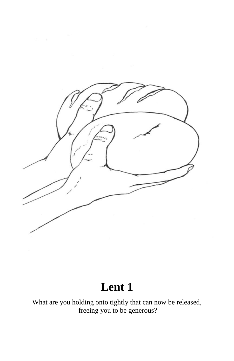

## **Lent 1**

What are you holding onto tightly that can now be released, freeing you to be generous?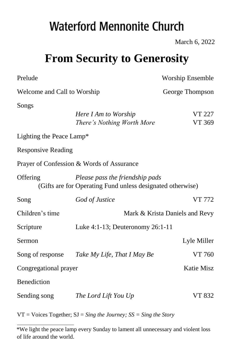# **Waterford Mennonite Church**

March 6, 2022

## **From Security to Generosity**

| Prelude                     |                                                                                               | <b>Worship Ensemble</b>        |  |
|-----------------------------|-----------------------------------------------------------------------------------------------|--------------------------------|--|
| Welcome and Call to Worship |                                                                                               | George Thompson                |  |
| Songs                       |                                                                                               |                                |  |
|                             | Here I Am to Worship<br>There's Nothing Worth More                                            | <b>VT 227</b><br>VT 369        |  |
| Lighting the Peace Lamp*    |                                                                                               |                                |  |
| <b>Responsive Reading</b>   |                                                                                               |                                |  |
|                             | Prayer of Confession & Words of Assurance                                                     |                                |  |
| Offering                    | Please pass the friendship pads<br>(Gifts are for Operating Fund unless designated otherwise) |                                |  |
| Song                        | God of Justice                                                                                | VT 772                         |  |
| Children's time             |                                                                                               | Mark & Krista Daniels and Revy |  |
| Scripture                   | Luke 4:1-13; Deuteronomy 26:1-11                                                              |                                |  |
| Sermon                      |                                                                                               | Lyle Miller                    |  |
| Song of response            | Take My Life, That I May Be                                                                   | VT 760                         |  |
| Congregational prayer       |                                                                                               | <b>Katie Misz</b>              |  |
| Benediction                 |                                                                                               |                                |  |
| Sending song                | The Lord Lift You Up                                                                          | VT 832                         |  |

VT = Voices Together; SJ = *Sing the Journey; SS = Sing the Story* 

<sup>\*</sup>We light the peace lamp every Sunday to lament all unnecessary and violent loss of life around the world.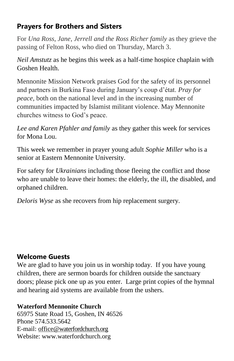### **Prayers for Brothers and Sisters**

For *Una Ross, Jane, Jerrell and the Ross Richer family* as they grieve the passing of Felton Ross, who died on Thursday, March 3.

*Neil Amstutz* as he begins this week as a half-time hospice chaplain with Goshen Health.

Mennonite Mission Network praises God for the safety of its personnel and partners in Burkina Faso during January's coup d'état. *Pray for peace,* both on the national level and in the increasing number of communities impacted by Islamist militant violence. May Mennonite churches witness to God's peace.

*Lee and Karen Pfahler and family* as they gather this week for services for Mona Lou.

This week we remember in prayer young adult *Sophie Miller* who is a senior at Eastern Mennonite University.

For safety for *Ukrainians* including those fleeing the conflict and those who are unable to leave their homes: the elderly, the ill, the disabled, and orphaned children.

*Deloris Wyse* as she recovers from hip replacement surgery.

#### **Welcome Guests**

We are glad to have you join us in worship today. If you have young children, there are sermon boards for children outside the sanctuary doors; please pick one up as you enter. Large print copies of the hymnal and hearing aid systems are available from the ushers.

## **Waterford Mennonite Church**

65975 State Road 15, Goshen, IN 46526 Phone 574.533.5642 E-mail: [office@waterfordchurch.org](mailto:office@waterfordchurch.org) Website: [www.waterfordchurch.org](http://www.waterfordchurch.org/)